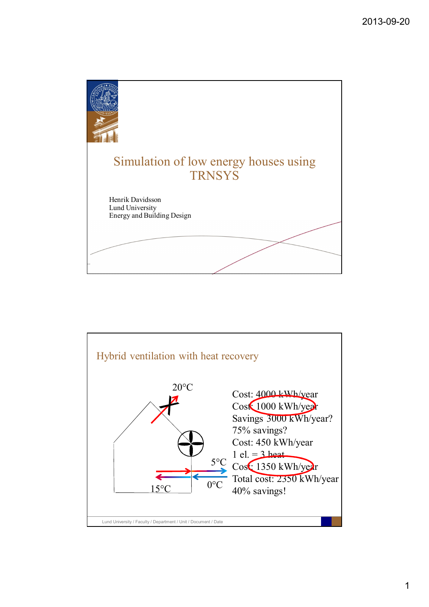

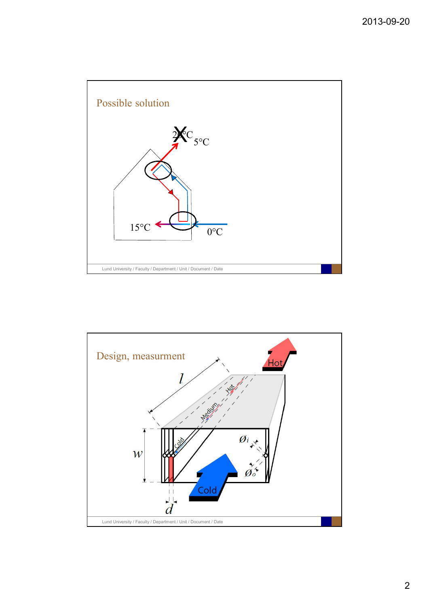

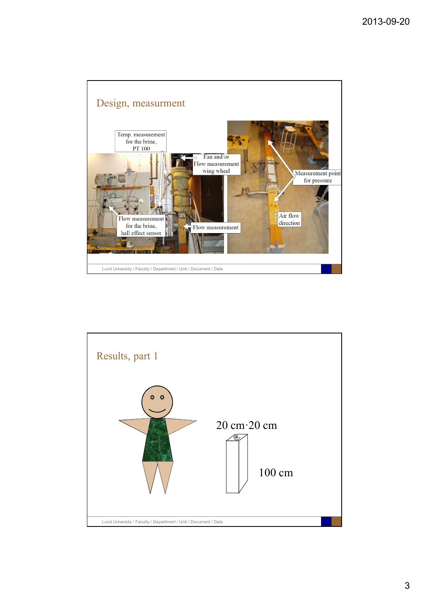

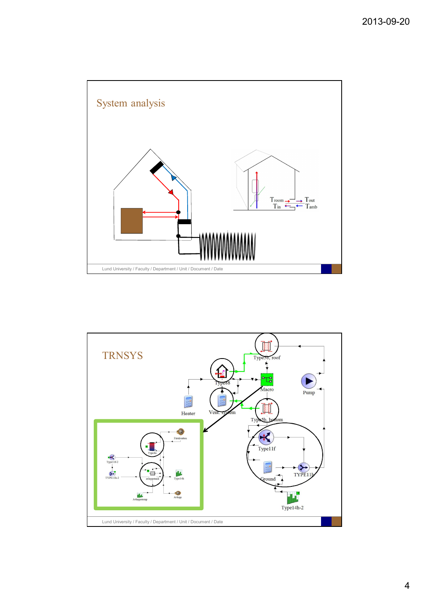

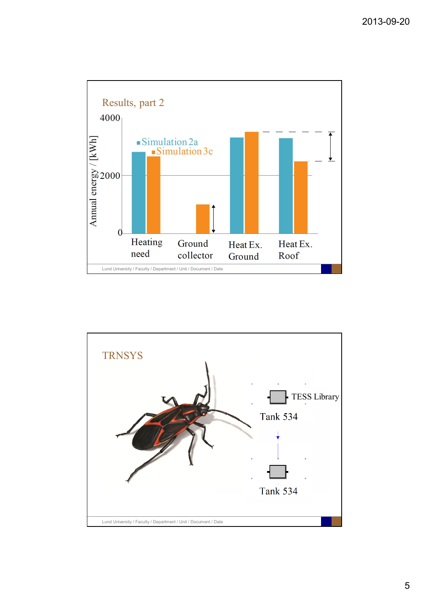